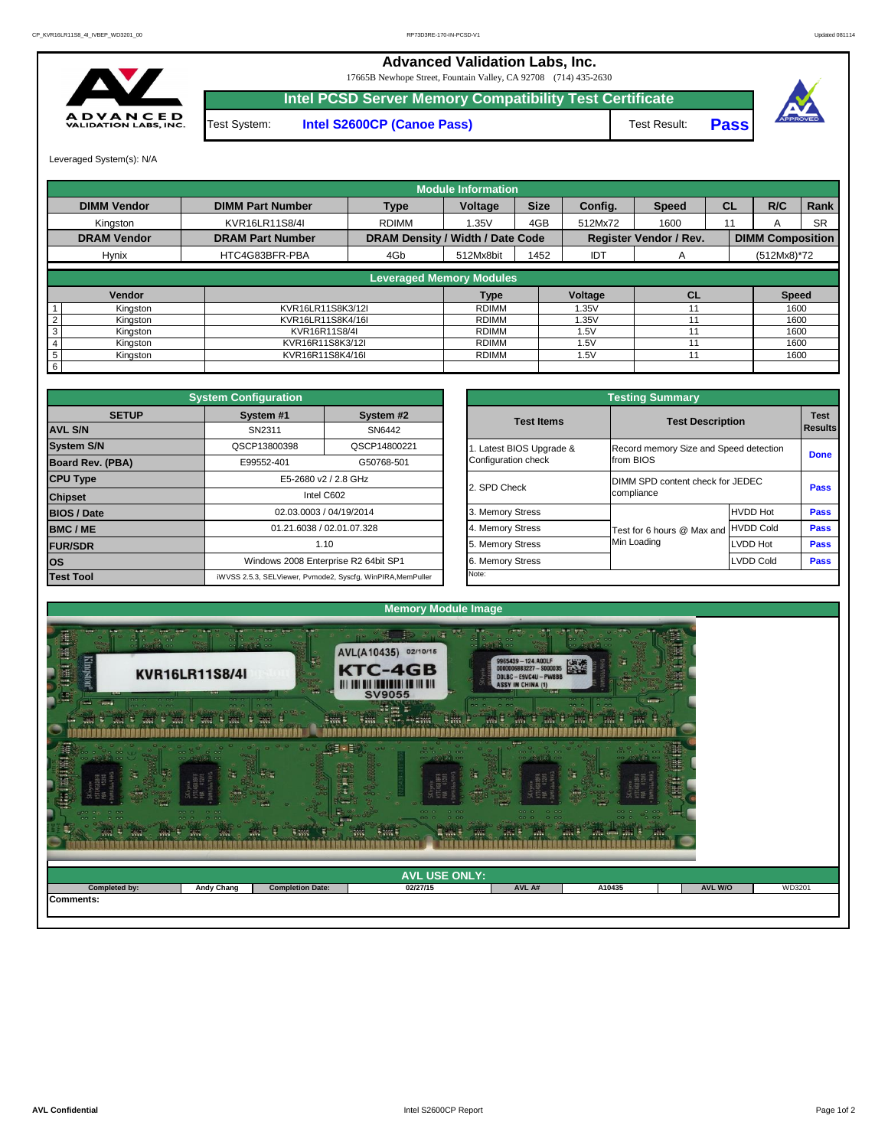## **Advanced Validation Labs, Inc.**

17665B Newhope Street, Fountain Valley, CA 92708 (714) 435-2630



Test Result: **Pass**



Test System: **Intel S2600CP (Canoe Pass) Intel PCSD Server Memory Compatibility Test Certificate**

Leveraged System(s): N/A

|                 |                    |                         |                                         | <b>Module Information</b> |             |            |                               |           |                         |           |
|-----------------|--------------------|-------------------------|-----------------------------------------|---------------------------|-------------|------------|-------------------------------|-----------|-------------------------|-----------|
|                 | <b>DIMM Vendor</b> | <b>DIMM Part Number</b> | <b>Type</b>                             | <b>Voltage</b>            | <b>Size</b> | Config.    | <b>Speed</b>                  | <b>CL</b> | R/C                     | Rank      |
|                 | Kingston           | KVR16LR11S8/4I          | <b>RDIMM</b>                            | 1.35V                     | 4GB         | 512Mx72    | 1600                          | 11        |                         | <b>SR</b> |
|                 | <b>DRAM Vendor</b> | <b>DRAM Part Number</b> | <b>DRAM Density / Width / Date Code</b> |                           |             |            | <b>Register Vendor / Rev.</b> |           | <b>DIMM Composition</b> |           |
|                 | <b>Hynix</b>       | HTC4G83BFR-PBA          | 4Gb                                     | 512Mx8bit                 | 1452        | <b>IDT</b> | $\mathsf{A}$                  |           | $(512Mx8)*72$           |           |
|                 |                    |                         | <b>Leveraged Memory Modules</b>         |                           |             |            |                               |           |                         |           |
|                 |                    |                         |                                         |                           |             |            |                               |           |                         |           |
|                 | Vendor             |                         |                                         | <b>Type</b>               |             | Voltage    | <b>CL</b>                     |           | <b>Speed</b>            |           |
|                 | Kingston           | KVR16LR11S8K3/12I       |                                         | <b>RDIMM</b>              |             | 1.35V      |                               |           | 1600                    |           |
|                 | Kingston           | KVR16LR11S8K4/16I       |                                         | <b>RDIMM</b>              |             | .35V       |                               |           | 1600                    |           |
| 3               | Kingston           | KVR16R11S8/4I           |                                         | <b>RDIMM</b>              |             | 1.5V       |                               |           | 1600                    |           |
|                 | Kingston           | KVR16R11S8K3/12I        |                                         | RDIMM                     |             | 1.5V       |                               |           | 1600                    |           |
| $5\phantom{.0}$ | Kingston           | KVR16R11S8K4/16I        |                                         | <b>RDIMM</b>              |             | 1.5V       | 11                            |           |                         | 1600      |
| 6               |                    |                         |                                         |                           |             |            |                               |           |                         |           |

|                                                 | <b>Testing Summary</b>                              |                  |                               |
|-------------------------------------------------|-----------------------------------------------------|------------------|-------------------------------|
| <b>Test Items</b>                               | <b>Test Description</b>                             |                  | <b>Test</b><br><b>Results</b> |
| 1. Latest BIOS Upgrade &<br>Configuration check | Record memory Size and Speed detection<br>from BIOS | <b>Done</b>      |                               |
| 2. SPD Check                                    | DIMM SPD content check for JEDEC<br>compliance      | <b>Pass</b>      |                               |
| 3. Memory Stress                                |                                                     | <b>HVDD Hot</b>  | <b>Pass</b>                   |
| 4. Memory Stress                                | Test for 6 hours @ Max and                          | <b>HVDD Cold</b> | <b>Pass</b>                   |
| 5. Memory Stress                                | Min Loading                                         | <b>LVDD Hot</b>  | <b>Pass</b>                   |
| 6. Memory Stress                                |                                                     | <b>LVDD Cold</b> | <b>Pass</b>                   |
| Note:                                           |                                                     |                  |                               |

|                         | <b>System Configuration</b> |                                                             |                       | <b>Testing Summary</b>                 |                 |             |
|-------------------------|-----------------------------|-------------------------------------------------------------|-----------------------|----------------------------------------|-----------------|-------------|
| <b>SETUP</b>            | System #1                   | System #2                                                   | <b>Test Items</b>     | <b>Test Description</b>                |                 | <b>Test</b> |
| <b>AVL S/N</b>          | SN2311                      | SN6442                                                      |                       |                                        |                 | Result      |
| <b>System S/N</b>       | QSCP13800398                | QSCP14800221                                                | Latest BIOS Upgrade & | Record memory Size and Speed detection |                 |             |
| <b>Board Rev. (PBA)</b> | E99552-401                  | G50768-501                                                  | Configuration check   | from BIOS                              |                 | <b>Done</b> |
| <b>CPU Type</b>         |                             | E5-2680 v2 / 2.8 GHz                                        | 2. SPD Check          | DIMM SPD content check for JEDEC       |                 |             |
| <b>Chipset</b>          |                             | Intel C602                                                  |                       | compliance                             |                 | <b>Pass</b> |
| <b>BIOS / Date</b>      |                             | 02.03.0003 / 04/19/2014                                     | 3. Memory Stress      |                                        | <b>HVDD Hot</b> | <b>Pass</b> |
| <b>BMC/ME</b>           |                             | 01.21.6038 / 02.01.07.328                                   | 4. Memory Stress      | Test for 6 hours @ Max and HVDD Cold   |                 | <b>Pass</b> |
| <b>FUR/SDR</b>          |                             | 1.10                                                        | 5. Memory Stress      | Min Loading                            | LVDD Hot        | <b>Pass</b> |
| <b>los</b>              |                             | Windows 2008 Enterprise R2 64bit SP1                        | 6. Memory Stress      |                                        | LVDD Cold       | <b>Pass</b> |
| <b>Test Tool</b>        |                             | iWVSS 2.5.3, SELViewer, Pvmode2, Syscfg, WinPIRA, MemPuller | Note:                 |                                        |                 |             |

| <b>AVL USE ONLY:</b><br>02/27/15<br>WD3201<br><b>Andy Chang</b><br><b>Completed by:</b><br><b>Completion Date:</b><br><b>AVL W/O</b><br>AVL A#<br>A10435<br>Comments: | $\frac{1}{2}$<br>$\frac{1}{2}$<br>黒ま | $\mathcal{M}_{\mathcal{M}}$<br>$\mathbb{R}^n$ | $\sim$ $\sim$ $\sim$<br>電源列車<br>$\overline{e}$ and $\overline{e}$<br>$\frac{1}{2}$ | <b>Sime</b><br>H.<br><b>TW</b> | $\frac{1}{2}$<br>疆 | 25.3<br><b>EVALUATE EVALU</b><br><b>SW</b> |  |
|-----------------------------------------------------------------------------------------------------------------------------------------------------------------------|--------------------------------------|-----------------------------------------------|------------------------------------------------------------------------------------|--------------------------------|--------------------|--------------------------------------------|--|
|                                                                                                                                                                       |                                      |                                               |                                                                                    |                                |                    |                                            |  |
|                                                                                                                                                                       |                                      |                                               |                                                                                    |                                |                    |                                            |  |
|                                                                                                                                                                       |                                      |                                               |                                                                                    |                                |                    |                                            |  |